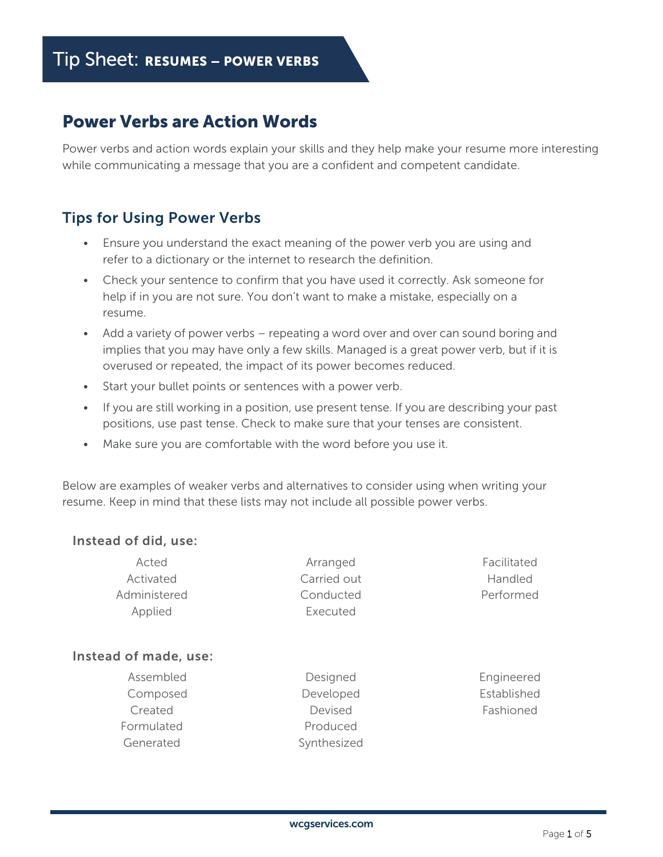# Power Verbs are Action Words

Power verbs and action words explain your skills and they help make your resume more interesting while communicating a message that you are a confident and competent candidate.

## Tips for Using Power Verbs

- Ensure you understand the exact meaning of the power verb you are using and refer to a dictionary or the internet to research the definition.
- Check your sentence to confirm that you have used it correctly. Ask someone for help if in you are not sure. You don't want to make a mistake, especially on a resume.
- Add a variety of power verbs repeating a word over and over can sound boring and implies that you may have only a few skills. Managed is a great power verb, but if it is overused or repeated, the impact of its power becomes reduced.
- Start your bullet points or sentences with a power verb.
- If you are still working in a position, use present tense. If you are describing your past positions, use past tense. Check to make sure that your tenses are consistent.
- Make sure you are comfortable with the word before you use it.

Below are examples of weaker verbs and alternatives to consider using when writing your resume. Keep in mind that these lists may not include all possible power verbs.

#### Instead of did, use:

| Acted        | Arranged    | Facilitated    |
|--------------|-------------|----------------|
| Activated    | Carried out | <b>Handled</b> |
| Administered | Conducted   | Performed      |
| Applied      | Executed    |                |

#### Instead of made, use:

- Assembled Composed Created Formulated Generated
- Designed Developed Devised Produced Synthesized

Engineered Established Fashioned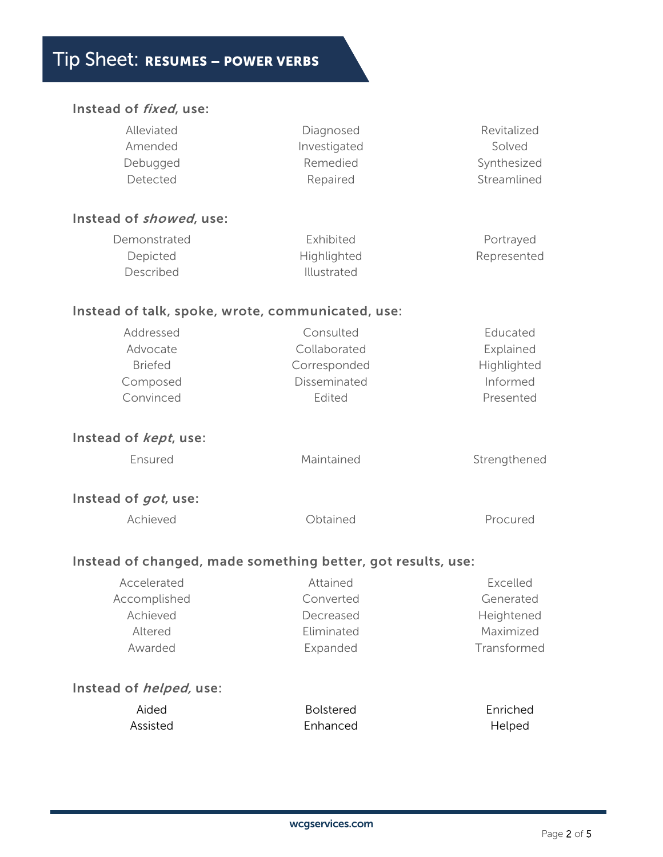# Tip Sheet: RESUMES – POWER VERBS

#### Instead of fixed, use:

| Alleviated<br>Amended<br>Debugged<br>Detected                    | Diagnosed<br>Investigated<br>Remedied<br>Repaired                   | Revitalized<br>Solved<br>Synthesized<br>Streamlined           |
|------------------------------------------------------------------|---------------------------------------------------------------------|---------------------------------------------------------------|
| Instead of <i>showed</i> , use:                                  |                                                                     |                                                               |
| Demonstrated<br>Depicted<br>Described                            | Exhibited<br>Highlighted<br>Illustrated                             | Portrayed<br>Represented                                      |
| Instead of talk, spoke, wrote, communicated, use:                |                                                                     |                                                               |
| Addressed<br>Advocate<br><b>Briefed</b><br>Composed<br>Convinced | Consulted<br>Collaborated<br>Corresponded<br>Disseminated<br>Edited | Educated<br>Explained<br>Highlighted<br>Informed<br>Presented |
| Instead of <i>kept</i> , use:                                    |                                                                     |                                                               |
| Ensured                                                          | Maintained                                                          | Strengthened                                                  |
| Instead of <i>got</i> , use:                                     |                                                                     |                                                               |
| Achieved                                                         | Obtained                                                            | Procured                                                      |
| Instead of changed, made something better, got results, use:     |                                                                     |                                                               |
| Accelerated                                                      | Attained                                                            | Excelled                                                      |
| Accomplished                                                     | Converted                                                           | Generated                                                     |
| Achieved                                                         | Decreased                                                           | Heightened                                                    |
| Altered                                                          | Eliminated                                                          | Maximized                                                     |
| Awarded                                                          | Expanded                                                            | Transformed                                                   |
| Instead of <i>helped,</i> use:                                   |                                                                     |                                                               |
| Aided                                                            | <b>Bolstered</b>                                                    | Enriched                                                      |
| Assisted                                                         | Enhanced                                                            | Helped                                                        |
|                                                                  |                                                                     |                                                               |
|                                                                  |                                                                     |                                                               |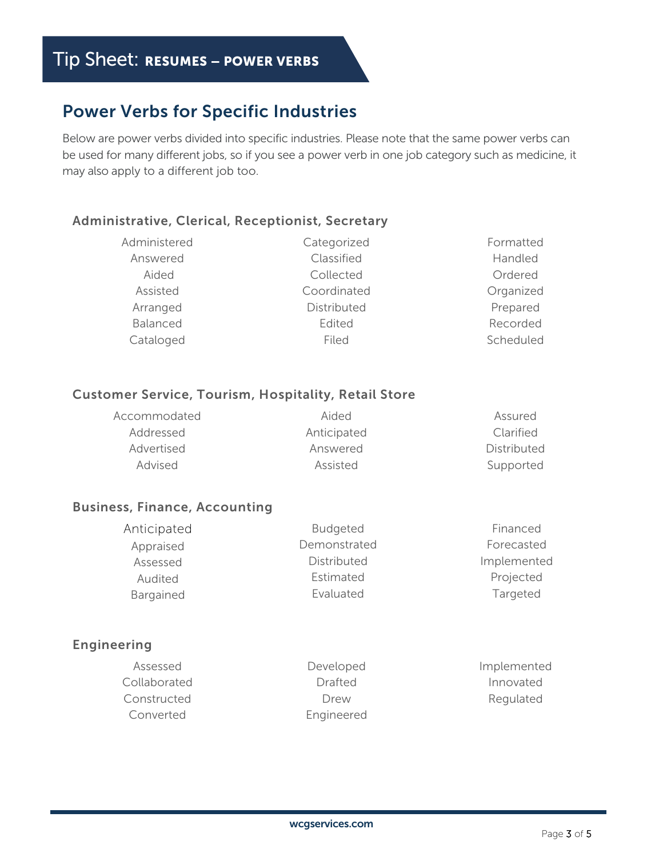# Power Verbs for Specific Industries

Below are power verbs divided into specific industries. Please note that the same power verbs can be used for many different jobs, so if you see a power verb in one job category such as medicine, it may also apply to a different job too.

#### Administrative, Clerical, Receptionist, Secretary

| Administered | Categorized | Formatted |
|--------------|-------------|-----------|
| Answered     | Classified  | Handled   |
| Aided        | Collected   | Ordered   |
| Assisted     | Coordinated | Organized |
| Arranged     | Distributed | Prepared  |
| Balanced     | Edited      | Recorded  |
| Cataloged    | Filed       | Scheduled |

#### Customer Service, Tourism, Hospitality, Retail Store

| Accommodated | Aided       | Assured     |
|--------------|-------------|-------------|
| Addressed    | Anticipated | Clarified   |
| Advertised   | Answered    | Distributed |
| Advised      | Assisted    | Supported   |

#### Business, Finance, Accounting

| Anticipated | <b>Budgeted</b> | Financed    |
|-------------|-----------------|-------------|
| Appraised   | Demonstrated    | Forecasted  |
| Assessed    | Distributed     | Implemented |
| Audited     | Estimated       | Projected   |
| Bargained   | Evaluated       | Targeted    |

#### Engineering

| Assessed     | Developed  | Implemented |
|--------------|------------|-------------|
| Collaborated | Drafted    | Innovated   |
| Constructed  | Drew       | Regulated   |
| Converted    | Engineered |             |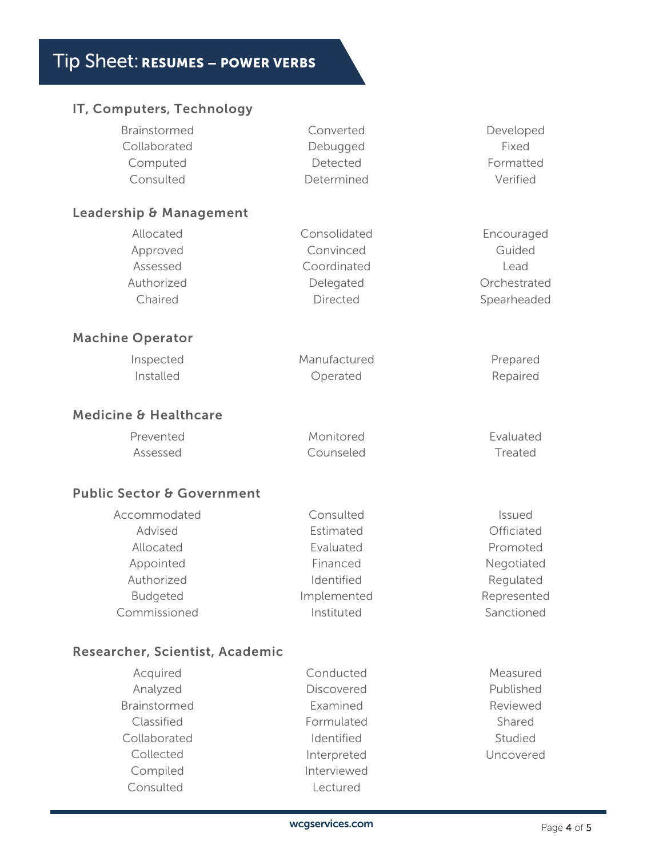## IT, Computers, Technology

| Brainstormed                          | Converted    | Developed    |
|---------------------------------------|--------------|--------------|
| Collaborated                          | Debugged     | Fixed        |
| Computed                              | Detected     | Formatted    |
| Consulted                             | Determined   | Verified     |
| <b>Leadership &amp; Management</b>    |              |              |
| Allocated                             | Consolidated | Encouraged   |
| Approved                              | Convinced    | Guided       |
| Assessed                              | Coordinated  | Lead         |
| Authorized                            | Delegated    | Orchestrated |
| Chaired                               | Directed     | Spearheaded  |
| <b>Machine Operator</b>               |              |              |
| Inspected                             | Manufactured | Prepared     |
| Installed                             | Operated     | Repaired     |
| Medicine & Healthcare                 |              |              |
| Prevented                             | Monitored    | Evaluated    |
| Assessed                              | Counseled    | Treated      |
| <b>Public Sector &amp; Government</b> |              |              |
| Accommodated                          | Consulted    | Issued       |
| Advised                               | Estimated    | Officiated   |
| Allocated                             | Evaluated    | Promoted     |
| Appointed                             | Financed     | Negotiated   |
| Authorized                            | Identified   | Regulated    |
| <b>Budgeted</b>                       | Implemented  | Represented  |
| Commissioned                          | Instituted   | Sanctioned   |
| Researcher, Scientist, Academic       |              |              |
| Acquired                              | Conducted    | Measured     |
| Analyzed                              | Discovered   | Published    |
| Brainstormed                          | Examined     | Reviewed     |
| Classified                            | Formulated   | Shared       |
| Collaborated                          | Identified   | Studied      |
| Collected                             | Interpreted  | Uncovered    |
| Compiled                              | Interviewed  |              |
| Consulted                             | Lectured     |              |